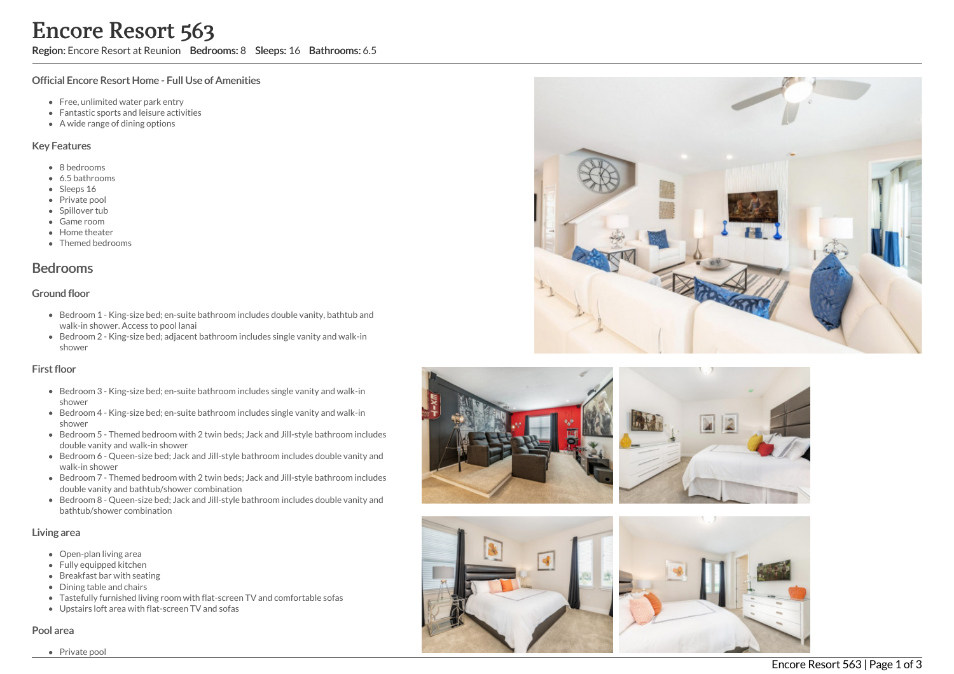Region: Encore Resort at Reunion Bedrooms: 8 Sleeps: 16 Bathrooms: 6.5

#### Official Encore Resort Home - Full Use of Amenities

- Free, unlimited water park entry
- Fantastic sports and leisure activities
- A wide range of dining options

#### Key Features

- 8 b e d r o o m s
- 6.5 bathrooms
- Sleeps 16
- Private pool
- Spillover tub
- Game room
- Home theate r
- Themed bedrooms

# **Bedrooms**

#### Ground floor

- Bedroom 1 King-size bed; en-suite bathroom includes double vanity, bathtub and walk-in shower. Access to pool lanai
- Bedroom 2 King-size bed; adjacent bathroom includes single vanity and walk-in s h o w e r

#### First floor

- Bedroom 3 King-size bed; en-suite bathroom includes single vanity and walk-in s h o w e r
- Bedroom 4 King-size bed; en-suite bathroom includes single vanity and walk-in s h o w e r
- Bedroom 5 Themed bedroom with 2 twin beds; Jack and Jill-style bathroom includes d o u ble v a nit y a n d w alk -in s h o w e r
- Bedroom 6 Queen-size bed; Jack and Jill-style bathroom includes double vanity and walk-in shower
- Bedroom 7 Themed bedroom with 2 twin beds; Jack and Jill-style bathroom includes double vanity and bathtub/shower combination
- Bedroom 8 Queen-size bed; Jack and Jill-style bathroom includes double vanity and bathtub/shower combination

#### Living area

- Open-plan living area
- Fully equipped kitchen
- Breakfast bar with seating
- Dining table and chairs
- Tastefully furnished living room with flat-screen TV and comfortable sofas
- Upstairs loft area with flat-screen TV and sofas

#### Pool area





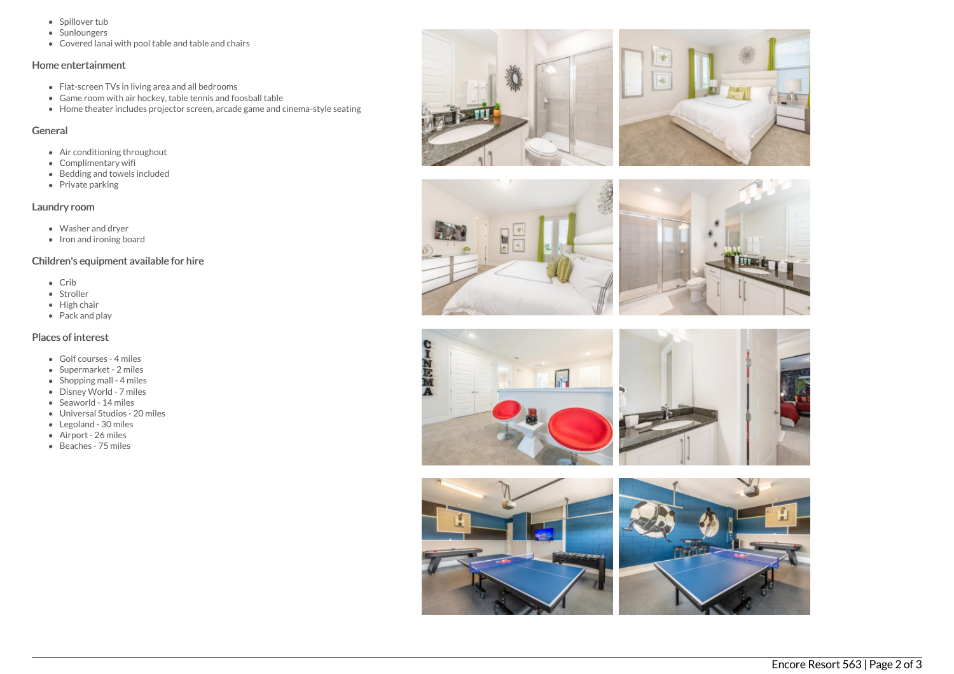- Spillover tub
- Sunloungers
- Covered lanai with pool table and table and chairs

### Home entertainment

- Flat-screen TVs in living area and all bedrooms
- Game room with air hockey, table tennis and foosball table
- Home theater includes projector screen, arcade game and cinema-style seating

# General

- Air conditioning throughout
- Complimentary wifi
- Bedding and towels included
- Private parking

# Laundry room

- Washer and dryer
- Iron and ironing board

## Children's equipment available for hire

- Crib
- Stroller
- $\bullet$  High chair
- Pack and play

## Places of interest

- Golf courses 4 miles
- Supermarket 2 miles
- $\bullet$  Shopping mall 4 miles
- Disney World 7 miles
- Seaworld 14 miles
- Universal Studios 20 miles
- Legoland 30 miles
- Airport 26 miles
- Beaches 75 miles